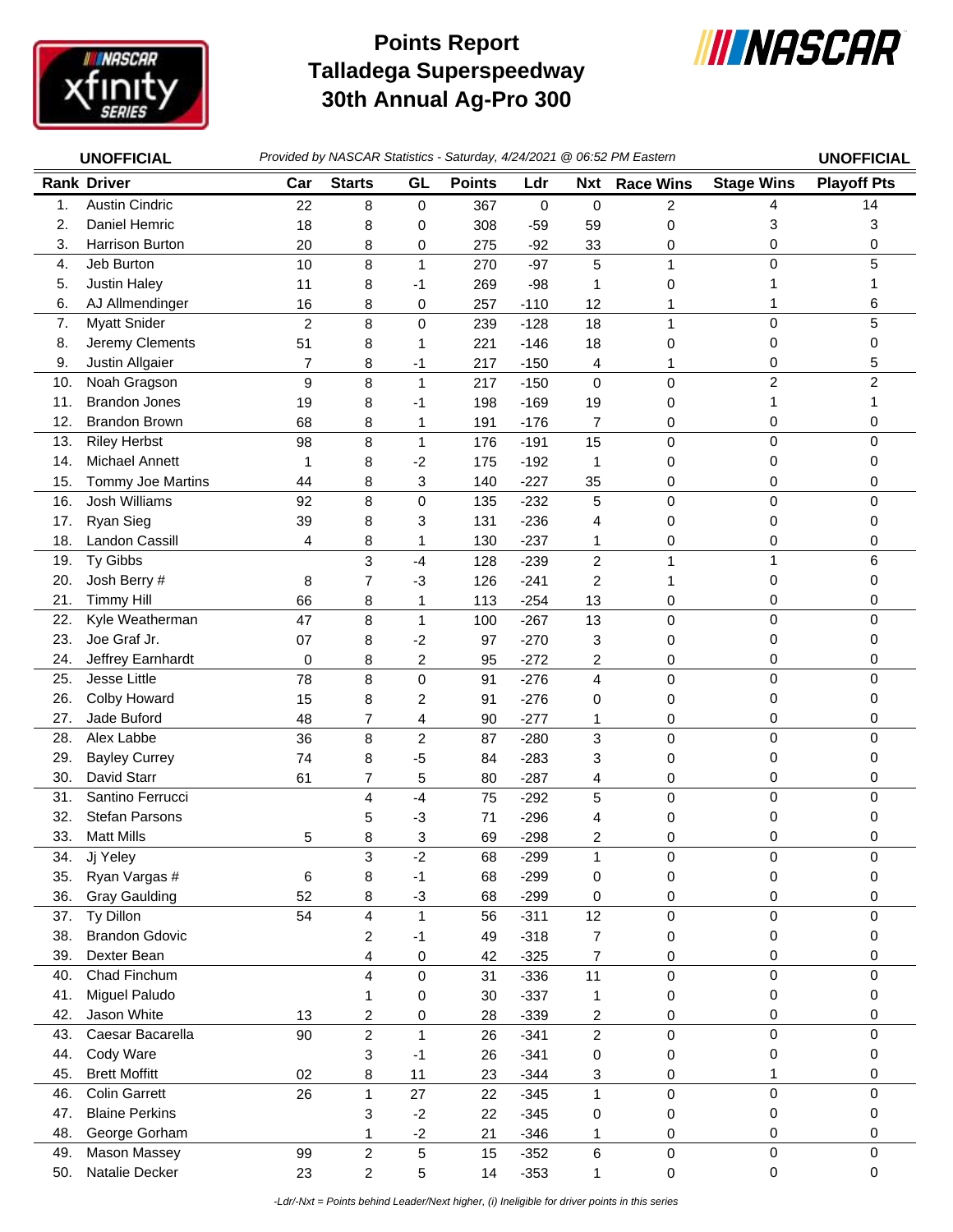

## **Talladega Superspeedway 30th Annual Ag-Pro 300 Points Report**



|     | <b>UNOFFICIAL</b>     |                |                         |                         | Provided by NASCAR Statistics - Saturday, 4/24/2021 @ 06:52 PM Eastern |           |                |                  |                   | <b>UNOFFICIAL</b>  |
|-----|-----------------------|----------------|-------------------------|-------------------------|------------------------------------------------------------------------|-----------|----------------|------------------|-------------------|--------------------|
|     | <b>Rank Driver</b>    | Car            | <b>Starts</b>           | GL                      | <b>Points</b>                                                          | Ldr       | <b>Nxt</b>     | <b>Race Wins</b> | <b>Stage Wins</b> | <b>Playoff Pts</b> |
| 1.  | <b>Austin Cindric</b> | 22             | 8                       | 0                       | 367                                                                    | $\pmb{0}$ | $\mathbf 0$    | 2                | 4                 | 14                 |
| 2.  | Daniel Hemric         | 18             | 8                       | 0                       | 308                                                                    | $-59$     | 59             | 0                | 3                 | 3                  |
| 3.  | Harrison Burton       | 20             | 8                       | 0                       | 275                                                                    | $-92$     | 33             | 0                | 0                 | 0                  |
| 4.  | Jeb Burton            | 10             | 8                       | 1                       | 270                                                                    | $-97$     | 5              | 1                | $\mathbf 0$       | 5                  |
| 5.  | <b>Justin Haley</b>   | 11             | 8                       | -1                      | 269                                                                    | $-98$     | 1              | 0                |                   |                    |
| 6.  | AJ Allmendinger       | 16             | 8                       | 0                       | 257                                                                    | $-110$    | 12             |                  | 1                 | 6                  |
| 7.  | <b>Myatt Snider</b>   | $\overline{c}$ | 8                       | 0                       | 239                                                                    | $-128$    | 18             | 1                | $\mathbf 0$       | 5                  |
| 8.  | Jeremy Clements       | 51             | 8                       | 1                       | 221                                                                    | $-146$    | 18             | 0                | 0                 | 0                  |
| 9.  | Justin Allgaier       | 7              | 8                       | -1                      | 217                                                                    | $-150$    | 4              | 1                | 0                 | 5                  |
| 10. | Noah Gragson          | 9              | 8                       | $\mathbf{1}$            | 217                                                                    | $-150$    | $\mathsf 0$    | 0                | $\overline{c}$    | $\overline{c}$     |
| 11. | <b>Brandon Jones</b>  | 19             | 8                       | -1                      | 198                                                                    | $-169$    | 19             | 0                | 1                 |                    |
| 12. | <b>Brandon Brown</b>  | 68             | 8                       | 1                       | 191                                                                    | $-176$    | 7              | 0                | 0                 | 0                  |
| 13. | <b>Riley Herbst</b>   | 98             | 8                       | $\mathbf{1}$            | 176                                                                    | $-191$    | 15             | 0                | $\mathbf 0$       | 0                  |
| 14. | Michael Annett        | 1              | 8                       | $-2$                    | 175                                                                    | $-192$    | 1              | 0                | 0                 | 0                  |
| 15. | Tommy Joe Martins     | 44             | 8                       | 3                       | 140                                                                    | $-227$    | 35             | 0                | 0                 | 0                  |
| 16. | <b>Josh Williams</b>  | 92             | 8                       | 0                       | 135                                                                    | $-232$    | 5              | 0                | $\mathbf 0$       | $\Omega$           |
| 17. | <b>Ryan Sieg</b>      | 39             | 8                       | 3                       | 131                                                                    | $-236$    | 4              | 0                | 0                 | 0                  |
| 18. | Landon Cassill        | 4              | 8                       | 1                       | 130                                                                    | $-237$    | 1              | 0                | 0                 | 0                  |
| 19. | Ty Gibbs              |                | 3                       | $-4$                    | 128                                                                    | $-239$    | $\overline{c}$ | 1                | 1                 | 6                  |
| 20. | Josh Berry #          | 8              | 7                       | $-3$                    | 126                                                                    | $-241$    | 2              |                  | 0                 | 0                  |
| 21. | <b>Timmy Hill</b>     | 66             | 8                       | 1                       | 113                                                                    | $-254$    | 13             | 0                | 0                 | 0                  |
| 22. | Kyle Weatherman       | 47             | 8                       | 1                       | 100                                                                    | $-267$    | 13             | 0                | $\mathbf 0$       | 0                  |
| 23. | Joe Graf Jr.          | 07             | 8                       | $-2$                    | 97                                                                     | $-270$    | 3              | 0                | 0                 | 0                  |
| 24. | Jeffrey Earnhardt     | 0              | 8                       | 2                       | 95                                                                     | $-272$    | 2              | 0                | 0                 | 0                  |
| 25. | <b>Jesse Little</b>   | 78             | 8                       | 0                       | 91                                                                     | $-276$    | 4              | 0                | $\mathbf 0$       | 0                  |
| 26. | Colby Howard          | 15             | 8                       | 2                       | 91                                                                     | $-276$    | 0              | 0                | 0                 | 0                  |
| 27. | Jade Buford           | 48             | 7                       | 4                       | 90                                                                     | $-277$    | 1              | 0                | 0                 | 0                  |
| 28. | Alex Labbe            | 36             | 8                       | $\overline{\mathbf{c}}$ | 87                                                                     | $-280$    | 3              | 0                | $\mathbf 0$       | 0                  |
| 29. | <b>Bayley Currey</b>  | 74             | 8                       | $-5$                    | 84                                                                     | $-283$    | 3              | 0                | 0                 | 0                  |
| 30. | David Starr           | 61             | 7                       | 5                       | 80                                                                     | $-287$    | 4              | 0                | 0                 | 0                  |
| 31. | Santino Ferrucci      |                | 4                       | $-4$                    | 75                                                                     | $-292$    | 5              | 0                | $\pmb{0}$         | 0                  |
| 32. | <b>Stefan Parsons</b> |                | 5                       | -3                      | 71                                                                     | $-296$    | 4              | 0                | 0                 | 0                  |
| 33. | <b>Matt Mills</b>     | 5              | Ω<br>o                  | 3                       | 69                                                                     | 298       | $\overline{c}$ | 0                | 0                 | 0                  |
| 34. | Jj Yeley              |                | 3                       | $-2$                    | 68                                                                     | $-299$    | 1              | 0                | $\mathbf 0$       | 0                  |
| 35. | Ryan Vargas #         | 6              | 8                       | $-1$                    | 68                                                                     | $-299$    | 0              | 0                | 0                 | 0                  |
| 36. | <b>Gray Gaulding</b>  | 52             | 8                       | $-3$                    | 68                                                                     | $-299$    | 0              | 0                | 0                 | 0                  |
| 37. | Ty Dillon             | 54             | $\overline{\mathbf{4}}$ | $\mathbf{1}$            | 56                                                                     | $-311$    | 12             | 0                | 0                 | $\mathbf 0$        |
| 38. | <b>Brandon Gdovic</b> |                | 2                       | -1                      | 49                                                                     | $-318$    | $\overline{7}$ | 0                | 0                 | 0                  |
| 39. | Dexter Bean           |                | 4                       | 0                       | 42                                                                     | $-325$    | 7              | 0                | 0                 | 0                  |
| 40. | Chad Finchum          |                | 4                       | 0                       | 31                                                                     | $-336$    | 11             | 0                | $\mathbf 0$       | $\mathbf 0$        |
| 41. | Miguel Paludo         |                | 1                       | 0                       | 30                                                                     | $-337$    | $\mathbf{1}$   | 0                | 0                 | 0                  |
| 42. | Jason White           | 13             | $\overline{c}$          | 0                       | 28                                                                     | $-339$    | 2              | 0                | 0                 | 0                  |
| 43. | Caesar Bacarella      | 90             | $\overline{c}$          | $\mathbf{1}$            | 26                                                                     | $-341$    | $\overline{c}$ | 0                | $\pmb{0}$         | $\mathbf 0$        |
| 44. | Cody Ware             |                | 3                       | $-1$                    | 26                                                                     | $-341$    | 0              | 0                | 0                 | 0                  |
| 45. | <b>Brett Moffitt</b>  | 02             | 8                       | 11                      | 23                                                                     | $-344$    | 3              | 0                | 1                 | 0                  |
| 46. | <b>Colin Garrett</b>  | 26             | $\mathbf{1}$            | 27                      | 22                                                                     | $-345$    | $\mathbf{1}$   | 0                | $\pmb{0}$         | 0                  |
| 47. | <b>Blaine Perkins</b> |                | 3                       | $-2$                    | 22                                                                     | $-345$    | 0              | 0                | 0                 | 0                  |
| 48. | George Gorham         |                | 1                       | $-2$                    | 21                                                                     | $-346$    | 1              | 0                | 0                 | 0                  |
| 49. | <b>Mason Massey</b>   | 99             | $\overline{c}$          | 5                       | 15                                                                     | $-352$    | 6              | 0                | $\mathbf 0$       | $\mathbf 0$        |
| 50. | Natalie Decker        | 23             | $\overline{c}$          | 5                       | 14                                                                     | $-353$    | 1              | 0                | 0                 | 0                  |